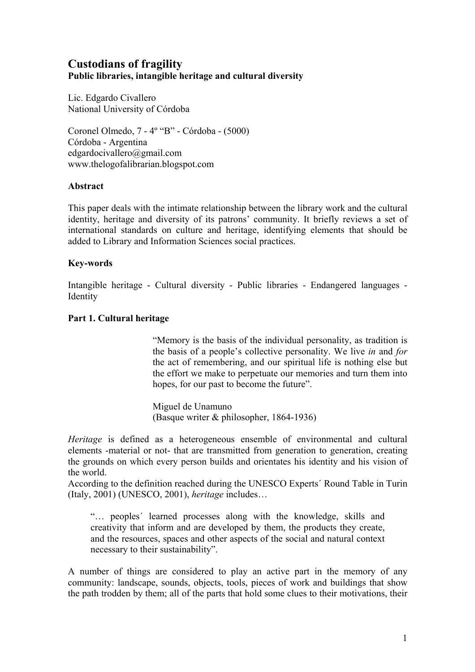# **Custodians of fragility Public libraries, intangible heritage and cultural diversity**

Lic. Edgardo Civallero National University of Córdoba

Coronel Olmedo, 7 - 4º "B" - Córdoba - (5000) Córdoba - Argentina edgardocivallero@gmail.com www.thelogofalibrarian.blogspot.com

#### **Abstract**

This paper deals with the intimate relationship between the library work and the cultural identity, heritage and diversity of its patrons' community. It briefly reviews a set of international standards on culture and heritage, identifying elements that should be added to Library and Information Sciences social practices.

## **Key-words**

Intangible heritage - Cultural diversity - Public libraries - Endangered languages - **Identity** 

#### **Part 1. Cultural heritage**

"Memory is the basis of the individual personality, as tradition is the basis of a people's collective personality. We live *in* and *for* the act of remembering, and our spiritual life is nothing else but the effort we make to perpetuate our memories and turn them into hopes, for our past to become the future".

Miguel de Unamuno (Basque writer & philosopher, 1864-1936)

*Heritage* is defined as a heterogeneous ensemble of environmental and cultural elements -material or not- that are transmitted from generation to generation, creating the grounds on which every person builds and orientates his identity and his vision of the world.

According to the definition reached during the UNESCO Experts´ Round Table in Turin (Italy, 2001) (UNESCO, 2001), *heritage* includes…

"… peoples´ learned processes along with the knowledge, skills and creativity that inform and are developed by them, the products they create, and the resources, spaces and other aspects of the social and natural context necessary to their sustainability".

A number of things are considered to play an active part in the memory of any community: landscape, sounds, objects, tools, pieces of work and buildings that show the path trodden by them; all of the parts that hold some clues to their motivations, their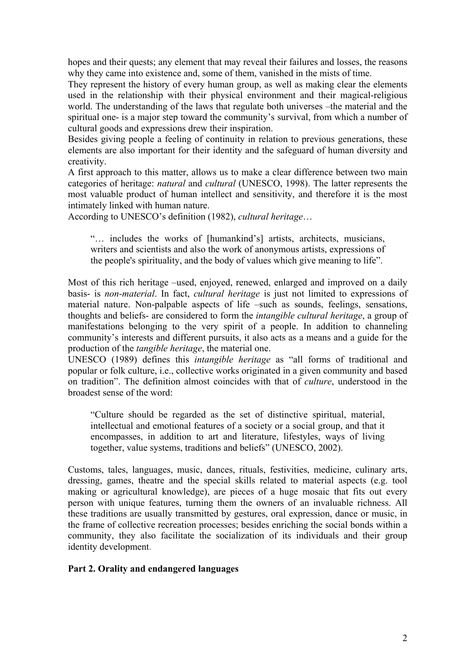hopes and their quests; any element that may reveal their failures and losses, the reasons why they came into existence and, some of them, vanished in the mists of time.

They represent the history of every human group, as well as making clear the elements used in the relationship with their physical environment and their magical-religious world. The understanding of the laws that regulate both universes –the material and the spiritual one- is a major step toward the community's survival, from which a number of cultural goods and expressions drew their inspiration.

Besides giving people a feeling of continuity in relation to previous generations, these elements are also important for their identity and the safeguard of human diversity and creativity.

A first approach to this matter, allows us to make a clear difference between two main categories of heritage: *natural* and *cultural* (UNESCO, 1998). The latter represents the most valuable product of human intellect and sensitivity, and therefore it is the most intimately linked with human nature.

According to UNESCO's definition (1982), *cultural heritage*…

"… includes the works of [humankind's] artists, architects, musicians, writers and scientists and also the work of anonymous artists, expressions of the people's spirituality, and the body of values which give meaning to life".

Most of this rich heritage –used, enjoyed, renewed, enlarged and improved on a daily basis- is *non-material*. In fact, *cultural heritage* is just not limited to expressions of material nature. Non-palpable aspects of life –such as sounds, feelings, sensations, thoughts and beliefs- are considered to form the *intangible cultural heritage*, a group of manifestations belonging to the very spirit of a people. In addition to channeling community's interests and different pursuits, it also acts as a means and a guide for the production of the *tangible heritage*, the material one.

UNESCO (1989) defines this *intangible heritage* as "all forms of traditional and popular or folk culture, i.e., collective works originated in a given community and based on tradition". The definition almost coincides with that of *culture*, understood in the broadest sense of the word:

"Culture should be regarded as the set of distinctive spiritual, material, intellectual and emotional features of a society or a social group, and that it encompasses, in addition to art and literature, lifestyles, ways of living together, value systems, traditions and beliefs" (UNESCO, 2002).

Customs, tales, languages, music, dances, rituals, festivities, medicine, culinary arts, dressing, games, theatre and the special skills related to material aspects (e.g. tool making or agricultural knowledge), are pieces of a huge mosaic that fits out every person with unique features, turning them the owners of an invaluable richness. All these traditions are usually transmitted by gestures, oral expression, dance or music, in the frame of collective recreation processes; besides enriching the social bonds within a community, they also facilitate the socialization of its individuals and their group identity development.

## **Part 2. Orality and endangered languages**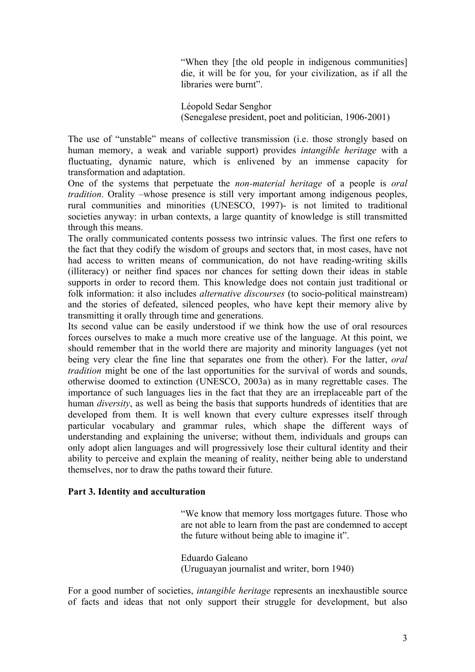"When they [the old people in indigenous communities] die, it will be for you, for your civilization, as if all the libraries were burnt".

Léopold Sedar Senghor (Senegalese president, poet and politician, 1906-2001)

The use of "unstable" means of collective transmission (i.e. those strongly based on human memory, a weak and variable support) provides *intangible heritage* with a fluctuating, dynamic nature, which is enlivened by an immense capacity for transformation and adaptation.

One of the systems that perpetuate the *non-material heritage* of a people is *oral tradition*. Orality –whose presence is still very important among indigenous peoples, rural communities and minorities (UNESCO, 1997)- is not limited to traditional societies anyway: in urban contexts, a large quantity of knowledge is still transmitted through this means.

The orally communicated contents possess two intrinsic values. The first one refers to the fact that they codify the wisdom of groups and sectors that, in most cases, have not had access to written means of communication, do not have reading-writing skills (illiteracy) or neither find spaces nor chances for setting down their ideas in stable supports in order to record them. This knowledge does not contain just traditional or folk information: it also includes *alternative discourses* (to socio-political mainstream) and the stories of defeated, silenced peoples, who have kept their memory alive by transmitting it orally through time and generations.

Its second value can be easily understood if we think how the use of oral resources forces ourselves to make a much more creative use of the language. At this point, we should remember that in the world there are majority and minority languages (yet not being very clear the fine line that separates one from the other). For the latter, *oral tradition* might be one of the last opportunities for the survival of words and sounds, otherwise doomed to extinction (UNESCO, 2003a) as in many regrettable cases. The importance of such languages lies in the fact that they are an irreplaceable part of the human *diversity*, as well as being the basis that supports hundreds of identities that are developed from them. It is well known that every culture expresses itself through particular vocabulary and grammar rules, which shape the different ways of understanding and explaining the universe; without them, individuals and groups can only adopt alien languages and will progressively lose their cultural identity and their ability to perceive and explain the meaning of reality, neither being able to understand themselves, nor to draw the paths toward their future.

## **Part 3. Identity and acculturation**

"We know that memory loss mortgages future. Those who are not able to learn from the past are condemned to accept the future without being able to imagine it".

Eduardo Galeano (Uruguayan journalist and writer, born 1940)

For a good number of societies, *intangible heritage* represents an inexhaustible source of facts and ideas that not only support their struggle for development, but also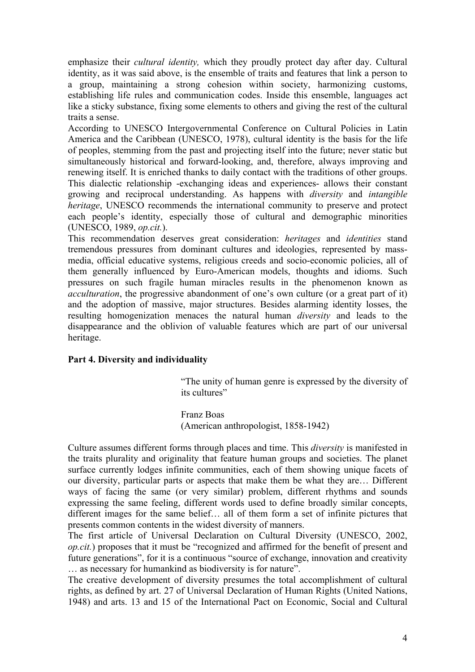emphasize their *cultural identity,* which they proudly protect day after day. Cultural identity, as it was said above, is the ensemble of traits and features that link a person to a group, maintaining a strong cohesion within society, harmonizing customs, establishing life rules and communication codes. Inside this ensemble, languages act like a sticky substance, fixing some elements to others and giving the rest of the cultural traits a sense.

According to UNESCO Intergovernmental Conference on Cultural Policies in Latin America and the Caribbean (UNESCO, 1978), cultural identity is the basis for the life of peoples, stemming from the past and projecting itself into the future; never static but simultaneously historical and forward-looking, and, therefore, always improving and renewing itself. It is enriched thanks to daily contact with the traditions of other groups. This dialectic relationship -exchanging ideas and experiences- allows their constant growing and reciprocal understanding. As happens with *diversity* and *intangible heritage*, UNESCO recommends the international community to preserve and protect each people's identity, especially those of cultural and demographic minorities (UNESCO, 1989, *op.cit.*).

This recommendation deserves great consideration: *heritages* and *identities* stand tremendous pressures from dominant cultures and ideologies, represented by massmedia, official educative systems, religious creeds and socio-economic policies, all of them generally influenced by Euro-American models, thoughts and idioms. Such pressures on such fragile human miracles results in the phenomenon known as *acculturation*, the progressive abandonment of one's own culture (or a great part of it) and the adoption of massive, major structures. Besides alarming identity losses, the resulting homogenization menaces the natural human *diversity* and leads to the disappearance and the oblivion of valuable features which are part of our universal heritage.

## **Part 4. Diversity and individuality**

"The unity of human genre is expressed by the diversity of its cultures"

Franz Boas (American anthropologist, 1858-1942)

Culture assumes different forms through places and time. This *diversity* is manifested in the traits plurality and originality that feature human groups and societies. The planet surface currently lodges infinite communities, each of them showing unique facets of our diversity, particular parts or aspects that make them be what they are… Different ways of facing the same (or very similar) problem, different rhythms and sounds expressing the same feeling, different words used to define broadly similar concepts, different images for the same belief… all of them form a set of infinite pictures that presents common contents in the widest diversity of manners.

The first article of Universal Declaration on Cultural Diversity (UNESCO, 2002, *op.cit.*) proposes that it must be "recognized and affirmed for the benefit of present and future generations", for it is a continuous "source of exchange, innovation and creativity … as necessary for humankind as biodiversity is for nature".

The creative development of diversity presumes the total accomplishment of cultural rights, as defined by art. 27 of Universal Declaration of Human Rights (United Nations, 1948) and arts. 13 and 15 of the International Pact on Economic, Social and Cultural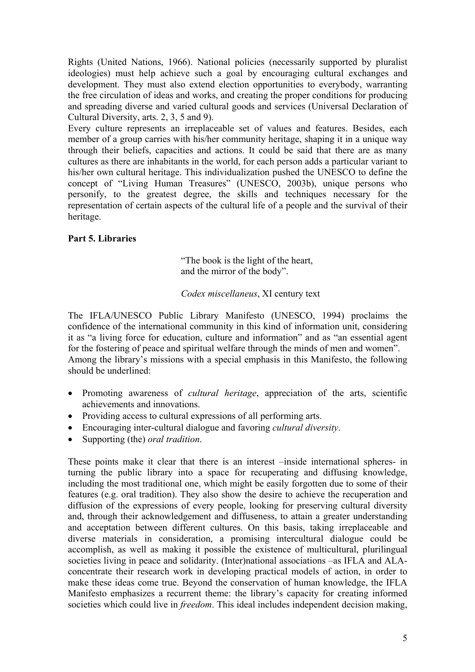Rights (United Nations, 1966). National policies (necessarily supported by pluralist ideologies) must help achieve such a goal by encouraging cultural exchanges and development. They must also extend election opportunities to everybody, warranting the free circulation of ideas and works, and creating the proper conditions for producing and spreading diverse and varied cultural goods and services (Universal Declaration of Cultural Diversity, arts. 2, 3, 5 and 9).

Every culture represents an irreplaceable set of values and features. Besides, each member of a group carries with his/her community heritage, shaping it in a unique way through their beliefs, capacities and actions. It could be said that there are as many cultures as there are inhabitants in the world, for each person adds a particular variant to his/her own cultural heritage. This individualization pushed the UNESCO to define the concept of "Living Human Treasures" (UNESCO, 2003b), unique persons who personify, to the greatest degree, the skills and techniques necessary for the representation of certain aspects of the cultural life of a people and the survival of their heritage.

## **Part 5. Libraries**

"The book is the light of the heart, and the mirror of the body".

## *Codex miscellaneus*, XI century text

The IFLA/UNESCO Public Library Manifesto (UNESCO, 1994) proclaims the confidence of the international community in this kind of information unit, considering it as "a living force for education, culture and information" and as "an essential agent for the fostering of peace and spiritual welfare through the minds of men and women". Among the library's missions with a special emphasis in this Manifesto, the following should be underlined:

- Promoting awareness of *cultural heritage*, appreciation of the arts, scientific achievements and innovations.
- Providing access to cultural expressions of all performing arts.
- Encouraging inter-cultural dialogue and favoring *cultural diversity*.
- Supporting (the) *oral tradition*.

These points make it clear that there is an interest –inside international spheres- in turning the public library into a space for recuperating and diffusing knowledge, including the most traditional one, which might be easily forgotten due to some of their features (e.g. oral tradition). They also show the desire to achieve the recuperation and diffusion of the expressions of every people, looking for preserving cultural diversity and, through their acknowledgement and diffuseness, to attain a greater understanding and acceptation between different cultures. On this basis, taking irreplaceable and diverse materials in consideration, a promising intercultural dialogue could be accomplish, as well as making it possible the existence of multicultural, plurilingual societies living in peace and solidarity. (Inter)national associations –as IFLA and ALAconcentrate their research work in developing practical models of action, in order to make these ideas come true. Beyond the conservation of human knowledge, the IFLA Manifesto emphasizes a recurrent theme: the library's capacity for creating informed societies which could live in *freedom*. This ideal includes independent decision making,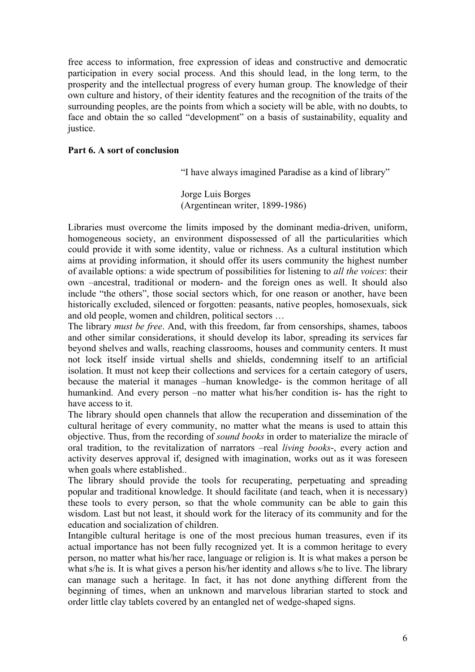free access to information, free expression of ideas and constructive and democratic participation in every social process. And this should lead, in the long term, to the prosperity and the intellectual progress of every human group. The knowledge of their own culture and history, of their identity features and the recognition of the traits of the surrounding peoples, are the points from which a society will be able, with no doubts, to face and obtain the so called "development" on a basis of sustainability, equality and justice.

#### **Part 6. A sort of conclusion**

"I have always imagined Paradise as a kind of library"

Jorge Luis Borges (Argentinean writer, 1899-1986)

Libraries must overcome the limits imposed by the dominant media-driven, uniform, homogeneous society, an environment dispossessed of all the particularities which could provide it with some identity, value or richness. As a cultural institution which aims at providing information, it should offer its users community the highest number of available options: a wide spectrum of possibilities for listening to *all the voices*: their own –ancestral, traditional or modern- and the foreign ones as well. It should also include "the others", those social sectors which, for one reason or another, have been historically excluded, silenced or forgotten: peasants, native peoples, homosexuals, sick and old people, women and children, political sectors …

The library *must be free*. And, with this freedom, far from censorships, shames, taboos and other similar considerations, it should develop its labor, spreading its services far beyond shelves and walls, reaching classrooms, houses and community centers. It must not lock itself inside virtual shells and shields, condemning itself to an artificial isolation. It must not keep their collections and services for a certain category of users, because the material it manages –human knowledge- is the common heritage of all humankind. And every person –no matter what his/her condition is- has the right to have access to it.

The library should open channels that allow the recuperation and dissemination of the cultural heritage of every community, no matter what the means is used to attain this objective. Thus, from the recording of *sound books* in order to materialize the miracle of oral tradition, to the revitalization of narrators –real *living books*-, every action and activity deserves approval if, designed with imagination, works out as it was foreseen when goals where established..

The library should provide the tools for recuperating, perpetuating and spreading popular and traditional knowledge. It should facilitate (and teach, when it is necessary) these tools to every person, so that the whole community can be able to gain this wisdom. Last but not least, it should work for the literacy of its community and for the education and socialization of children.

Intangible cultural heritage is one of the most precious human treasures, even if its actual importance has not been fully recognized yet. It is a common heritage to every person, no matter what his/her race, language or religion is. It is what makes a person be what s/he is. It is what gives a person his/her identity and allows s/he to live. The library can manage such a heritage. In fact, it has not done anything different from the beginning of times, when an unknown and marvelous librarian started to stock and order little clay tablets covered by an entangled net of wedge-shaped signs.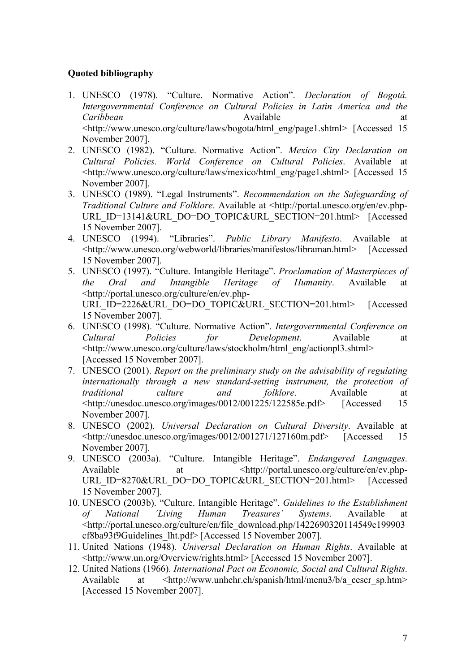## **Quoted bibliography**

- 1. UNESCO (1978). "Culture. Normative Action". *Declaration of Bogotá. Intergovernmental Conference on Cultural Policies in Latin America and the Caribbean* at Available at Available at the state at the state at the state at the state at the state at the state at the state at  $\alpha$ <http://www.unesco.org/culture/laws/bogota/html\_eng/page1.shtml> [Accessed 15 November 2007].
- 2. UNESCO (1982). "Culture. Normative Action". *Mexico City Declaration on Cultural Policies. World Conference on Cultural Policies*. Available at <http://www.unesco.org/culture/laws/mexico/html\_eng/page1.shtml> [Accessed 15 November 2007].
- 3. UNESCO (1989). "Legal Instruments". *Recommendation on the Safeguarding of Traditional Culture and Folklore*. Available at <http://portal.unesco.org/en/ev.php-URL\_ID=13141&URL\_DO=DO\_TOPIC&URL\_SECTION=201.html> [Accessed] 15 November 2007].
- 4. UNESCO (1994). "Libraries". *Public Library Manifesto*. Available at <http://www.unesco.org/webworld/libraries/manifestos/libraman.html> [Accessed 15 November 2007].
- 5. UNESCO (1997). "Culture. Intangible Heritage". *Proclamation of Masterpieces of the Oral and Intangible Heritage of Humanity*. Available at <http://portal.unesco.org/culture/en/ev.php-URL\_ID=2226&URL\_DO=DO\_TOPIC&URL\_SECTION=201.html> [Accessed 15 November 2007].
- 6. UNESCO (1998). "Culture. Normative Action". *Intergovernmental Conference on Cultural Policies for Development*. Available at <http://www.unesco.org/culture/laws/stockholm/html\_eng/actionpl3.shtml> [Accessed 15 November 2007].
- 7. UNESCO (2001). *Report on the preliminary study on the advisability of regulating internationally through a new standard-setting instrument, the protection of traditional culture and folklore*. Available at <http://unesdoc.unesco.org/images/0012/001225/122585e.pdf> [Accessed 15 November 2007].
- 8. UNESCO (2002). *Universal Declaration on Cultural Diversity*. Available at <http://unesdoc.unesco.org/images/0012/001271/127160m.pdf> [Accessed 15 November 2007].
- 9. UNESCO (2003a). "Culture. Intangible Heritage". *Endangered Languages*. Available at  $\langle \text{http://portal.unesco.org/culture/en/ev.php-} \rangle$ URL\_ID=8270&URL\_DO=DO\_TOPIC&URL\_SECTION=201.html> [Accessed 15 November 2007].
- 10. UNESCO (2003b). "Culture. Intangible Heritage". *Guidelines to the Establishment of National ´Living Human Treasures´ Systems*. Available at <http://portal.unesco.org/culture/en/file\_download.php/1422690320114549c199903 cf8ba93f9Guidelines\_lht.pdf> [Accessed 15 November 2007].
- 11. United Nations (1948). *Universal Declaration on Human Rights*. Available at <http://www.un.org/Overview/rights.html> [Accessed 15 November 2007].
- 12. United Nations (1966). *International Pact on Economic, Social and Cultural Rights*. Available at <http://www.unhchr.ch/spanish/html/menu3/b/a\_cescr\_sp.htm> [Accessed 15 November 2007].